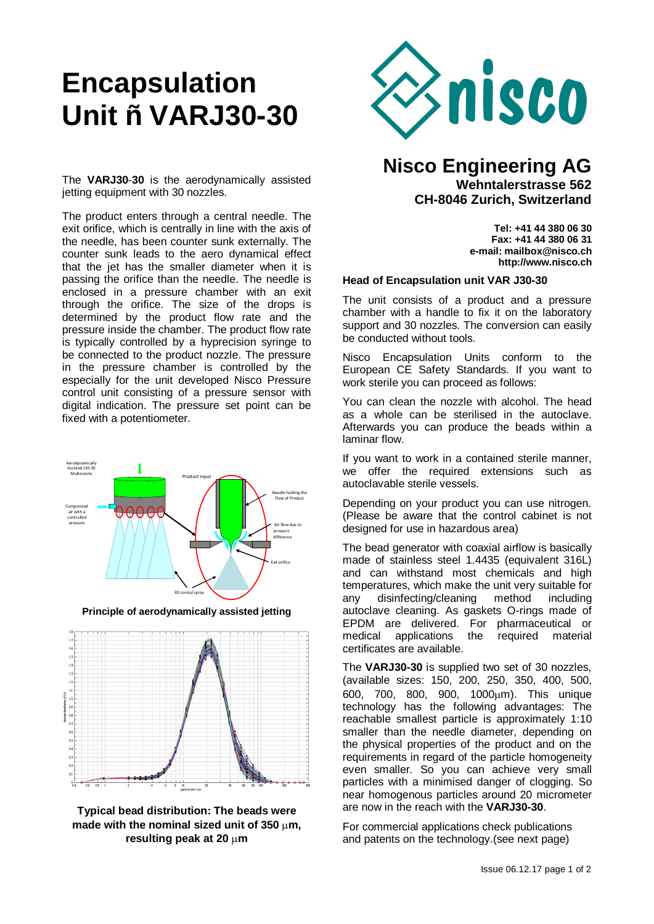# **Encapsulation Unit – VARJ30-30**



The **VARJ30**-**30** is the aerodynamically assisted jetting equipment with 30 nozzles.

The product enters through a central needle. The exit orifice, which is centrally in line with the axis of the needle, has been counter sunk externally. The counter sunk leads to the aero dynamical effect that the jet has the smaller diameter when it is passing the orifice than the needle. The needle is enclosed in a pressure chamber with an exit through the orifice. The size of the drops is determined by the product flow rate and the pressure inside the chamber. The product flow rate is typically controlled by a hyprecision syringe to be connected to the product nozzle. The pressure in the pressure chamber is controlled by the especially for the unit developed Nisco Pressure control unit consisting of a pressure sensor with digital indication. The pressure set point can be fixed with a potentiometer.



**Principle of aerodynamically assisted jetting**





# **Nisco Engineering AG Wehntalerstrasse 562 CH-8046 Zurich, Switzerland**

**Tel: +41 44 380 06 30 Fax: +41 44 380 06 31 e-mail: mailbox@nisco.ch http://www.nisco.ch**

### **Head of Encapsulation unit VAR J30-30**

The unit consists of a product and a pressure chamber with a handle to fix it on the laboratory support and 30 nozzles. The conversion can easily be conducted without tools.

Nisco Encapsulation Units conform to the European CE Safety Standards. If you want to work sterile you can proceed as follows:

You can clean the nozzle with alcohol. The head as a whole can be sterilised in the autoclave. Afterwards you can produce the beads within a laminar flow.

If you want to work in a contained sterile manner, we offer the required extensions such as autoclavable sterile vessels.

Depending on your product you can use nitrogen. (Please be aware that the control cabinet is not designed for use in hazardous area)

The bead generator with coaxial airflow is basically made of stainless steel 1.4435 (equivalent 316L) and can withstand most chemicals and high temperatures, which make the unit very suitable for any disinfecting/cleaning method including autoclave cleaning. As gaskets O-rings made of EPDM are delivered. For pharmaceutical or medical applications the required material certificates are available.

The **VARJ30-30** is supplied two set of 30 nozzles, (available sizes: 150, 200, 250, 350, 400, 500, 600, 700, 800, 900, 1000µm). This unique technology has the following advantages: The reachable smallest particle is approximately 1:10 smaller than the needle diameter, depending on the physical properties of the product and on the requirements in regard of the particle homogeneity even smaller. So you can achieve very small particles with a minimised danger of clogging. So near homogenous particles around 20 micrometer are now in the reach with the **VARJ30-30**.

For commercial applications check publications and patents on the technology.(see next page)